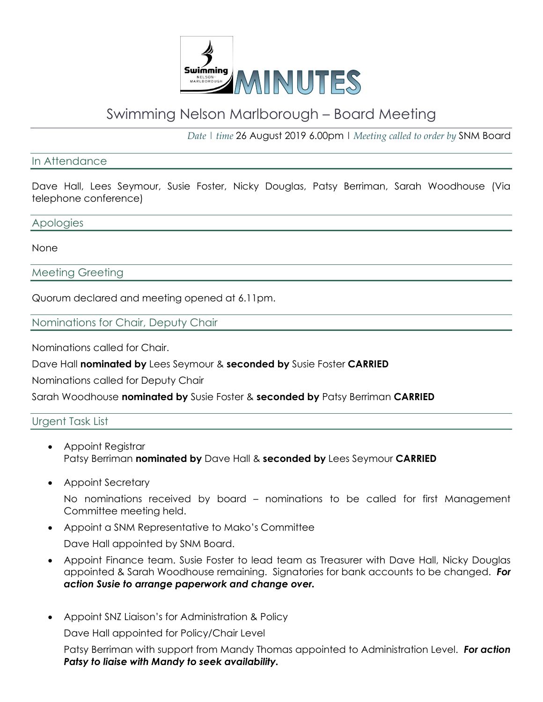

# Swimming Nelson Marlborough – Board Meeting

*Date | time* 26 August 2019 6.00pm | *Meeting called to order by* SNM Board

#### In Attendance

Dave Hall, Lees Seymour, Susie Foster, Nicky Douglas, Patsy Berriman, Sarah Woodhouse (Via telephone conference)

#### Apologies

None

Meeting Greeting

Quorum declared and meeting opened at 6.11pm.

Nominations for Chair, Deputy Chair

Nominations called for Chair.

Dave Hall **nominated by** Lees Seymour & **seconded by** Susie Foster **CARRIED**

Nominations called for Deputy Chair

Sarah Woodhouse **nominated by** Susie Foster & **seconded by** Patsy Berriman **CARRIED**

## Urgent Task List

- Appoint Registrar Patsy Berriman **nominated by** Dave Hall & **seconded by** Lees Seymour **CARRIED**
- Appoint Secretary

No nominations received by board – nominations to be called for first Management Committee meeting held.

• Appoint a SNM Representative to Mako's Committee

Dave Hall appointed by SNM Board.

- Appoint Finance team. Susie Foster to lead team as Treasurer with Dave Hall, Nicky Douglas appointed & Sarah Woodhouse remaining. Signatories for bank accounts to be changed. *For action Susie to arrange paperwork and change over.*
- Appoint SNZ Liaison's for Administration & Policy

Dave Hall appointed for Policy/Chair Level

Patsy Berriman with support from Mandy Thomas appointed to Administration Level. *For action Patsy to liaise with Mandy to seek availability.*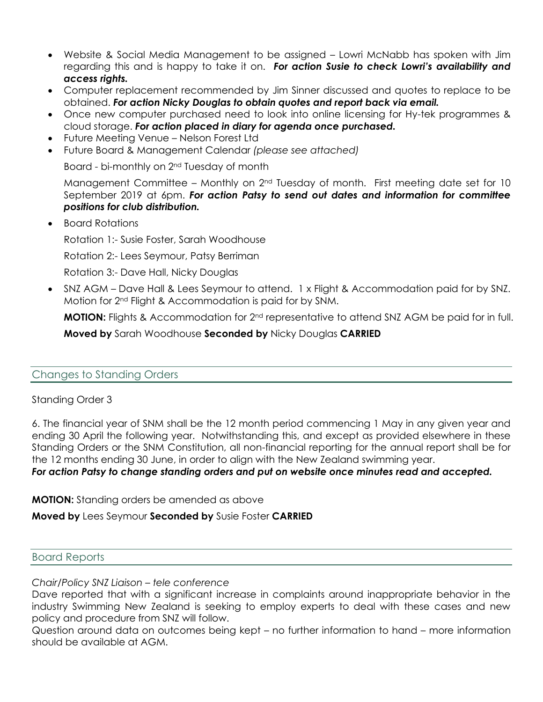- Website & Social Media Management to be assigned Lowri McNabb has spoken with Jim regarding this and is happy to take it on. *For action Susie to check Lowri's availability and access rights.*
- Computer replacement recommended by Jim Sinner discussed and quotes to replace to be obtained. *For action Nicky Douglas to obtain quotes and report back via email.*
- Once new computer purchased need to look into online licensing for Hy-tek programmes & cloud storage. *For action placed in diary for agenda once purchased.*
- Future Meeting Venue Nelson Forest Ltd
- Future Board & Management Calendar *(please see attached)*

Board - bi-monthly on 2nd Tuesday of month

Management Committee – Monthly on  $2<sup>nd</sup>$  Tuesday of month. First meeting date set for 10 September 2019 at 6pm. For action Patsy to send out dates and information for committee *positions for club distribution.*

• Board Rotations

Rotation 1:- Susie Foster, Sarah Woodhouse

Rotation 2:- Lees Seymour, Patsy Berriman

Rotation 3:- Dave Hall, Nicky Douglas

• SNZ AGM – Dave Hall & Lees Seymour to attend. 1 x Flight & Accommodation paid for by SNZ. Motion for 2nd Flight & Accommodation is paid for by SNM.

**MOTION:** Flights & Accommodation for 2<sup>nd</sup> representative to attend SNZ AGM be paid for in full.

**Moved by** Sarah Woodhouse **Seconded by** Nicky Douglas **CARRIED**

## Changes to Standing Orders

#### Standing Order 3

6. The financial year of SNM shall be the 12 month period commencing 1 May in any given year and ending 30 April the following year. Notwithstanding this, and except as provided elsewhere in these Standing Orders or the SNM Constitution, all non-financial reporting for the annual report shall be for the 12 months ending 30 June, in order to align with the New Zealand swimming year.

*For action Patsy to change standing orders and put on website once minutes read and accepted.*

**MOTION:** Standing orders be amended as above

## **Moved by** Lees Seymour **Seconded by** Susie Foster **CARRIED**

#### Board Reports

#### *Chair/Policy SNZ Liaison – tele conference*

Dave reported that with a significant increase in complaints around inappropriate behavior in the industry Swimming New Zealand is seeking to employ experts to deal with these cases and new policy and procedure from SNZ will follow.

Question around data on outcomes being kept – no further information to hand – more information should be available at AGM.